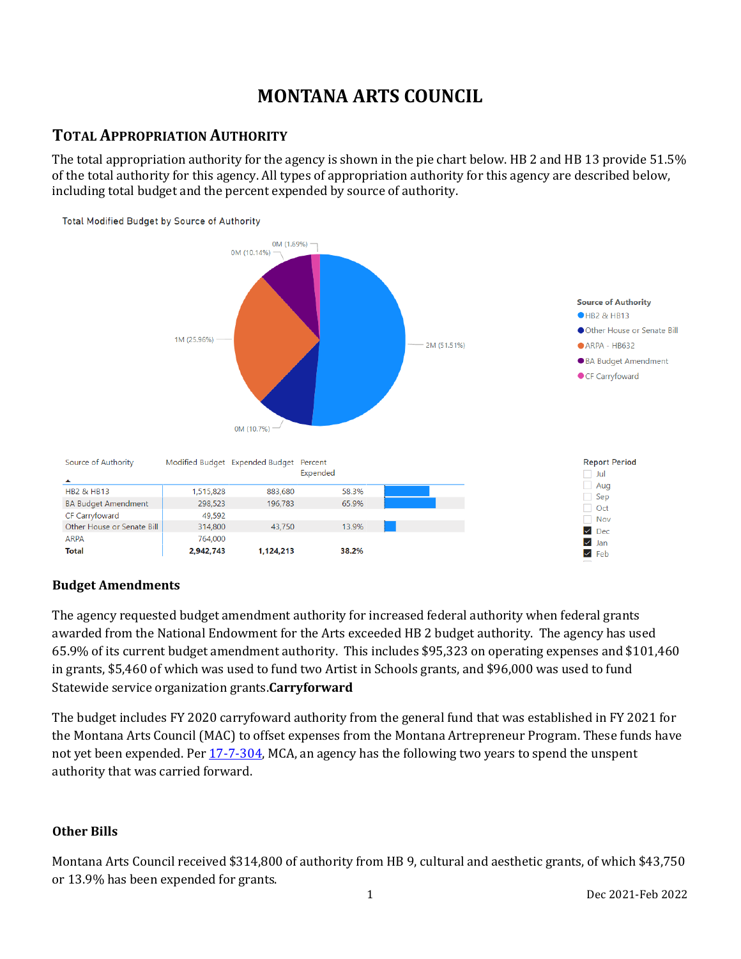# **MONTANA ARTS COUNCIL**

# **TOTAL APPROPRIATION AUTHORITY**

The total appropriation authority for the agency is shown in the pie chart below. HB 2 and HB 13 provide 51.5% of the total authority for this agency. All types of appropriation authority for this agency are described below, including total budget and the percent expended by source of authority.



### **Budget Amendments**

The agency requested budget amendment authority for increased federal authority when federal grants awarded from the National Endowment for the Arts exceeded HB 2 budget authority. The agency has used 65.9% of its current budget amendment authority. This includes \$95,323 on operating expenses and \$101,460 in grants, \$5,460 of which was used to fund two Artist in Schools grants, and \$96,000 was used to fund Statewide service organization grants.**Carryforward**

The budget includes FY 2020 carryfoward authority from the general fund that was established in FY 2021 for the Montana Arts Council (MAC) to offset expenses from the Montana Artrepreneur Program. These funds have not yet been expended. Per [17-7-304,](https://leg.mt.gov/bills/2009/mca/17/7/17-7-304.htm) MCA, an agency has the following two years to spend the unspent authority that was carried forward.

### **Other Bills**

Montana Arts Council received \$314,800 of authority from HB 9, cultural and aesthetic grants, of which \$43,750 or 13.9% has been expended for grants.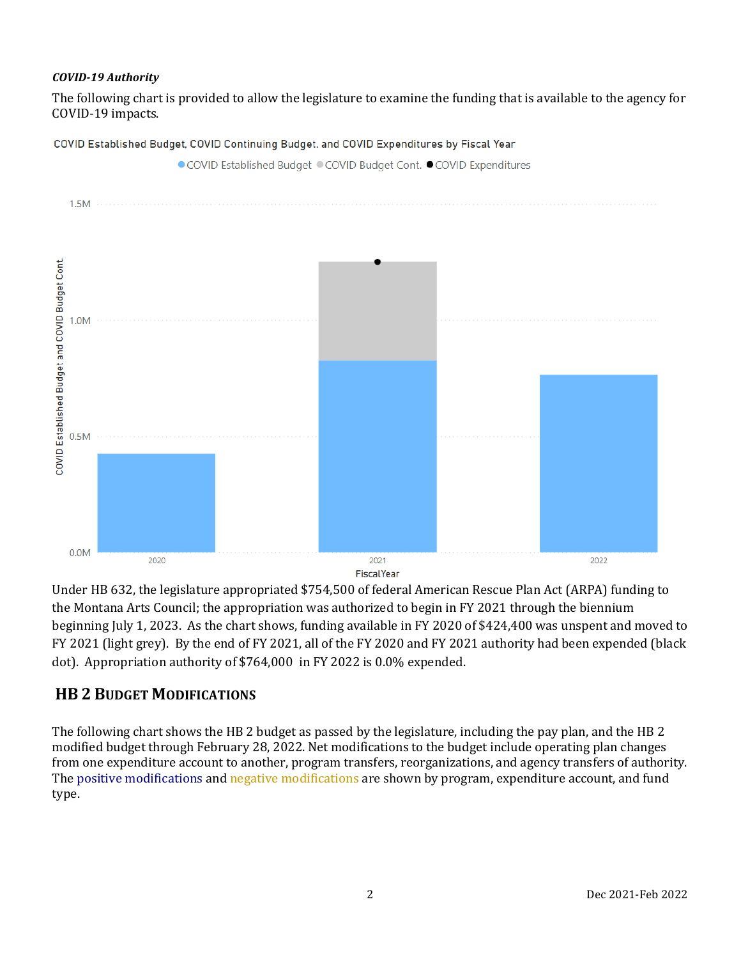### *COVID-19 Authority*

The following chart is provided to allow the legislature to examine the funding that is available to the agency for COVID-19 impacts.



COVID Established Budget, COVID Continuing Budget. and COVID Expenditures by Fiscal Year

Under HB 632, the legislature appropriated \$754,500 of federal American Rescue Plan Act (ARPA) funding to the Montana Arts Council; the appropriation was authorized to begin in FY 2021 through the biennium beginning July 1, 2023. As the chart shows, funding available in FY 2020 of \$424,400 was unspent and moved to FY 2021 (light grey). By the end of FY 2021, all of the FY 2020 and FY 2021 authority had been expended (black dot). Appropriation authority of \$764,000 in FY 2022 is 0.0% expended.

## **HB 2 BUDGET MODIFICATIONS**

The following chart shows the HB 2 budget as passed by the legislature, including the pay plan, and the HB 2 modified budget through February 28, 2022. Net modifications to the budget include operating plan changes from one expenditure account to another, program transfers, reorganizations, and agency transfers of authority. The positive modifications and negative modifications are shown by program, expenditure account, and fund type.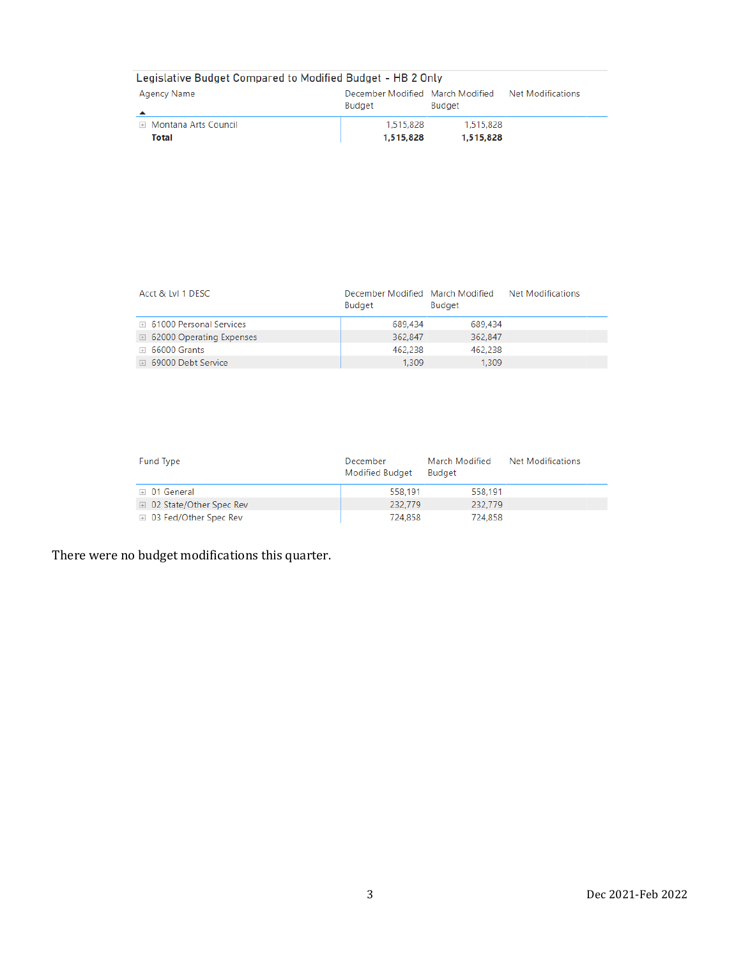| Legislative Budget Compared to Modified Budget - HB 2 Only |                                            |                        |                   |  |  |
|------------------------------------------------------------|--------------------------------------------|------------------------|-------------------|--|--|
| Agency Name<br>▴                                           | December Modified March Modified<br>Budget | <b>Budget</b>          | Net Modifications |  |  |
| ⊞ Montana Arts Council<br>Total                            | 1.515.828<br>1,515,828                     | 1,515,828<br>1,515,828 |                   |  |  |

| Acct & Lyl 1 DESC                   | December Modified March Modified<br><b>Budget</b> | <b>Budget</b> | Net Modifications |
|-------------------------------------|---------------------------------------------------|---------------|-------------------|
| □ 61000 Personal Services           | 689.434                                           | 689.434       |                   |
| $\boxplus$ 62000 Operating Expenses | 362.847                                           | 362.847       |                   |
| $\boxplus$ 66000 Grants             | 462.238                                           | 462.238       |                   |
| 69000 Debt Service                  | 1.309                                             | 1,309         |                   |

| Fund Type                      | December<br>Modified Budget | March Modified<br>Budget | <b>Net Modifications</b> |
|--------------------------------|-----------------------------|--------------------------|--------------------------|
| $\boxplus$ 01 General          | 558.191                     | 558.191                  |                          |
| □ 02 State/Other Spec Rev      | 232,779                     | 232.779                  |                          |
| <b>E</b> 03 Fed/Other Spec Rev | 724.858                     | 724,858                  |                          |

There were no budget modifications this quarter.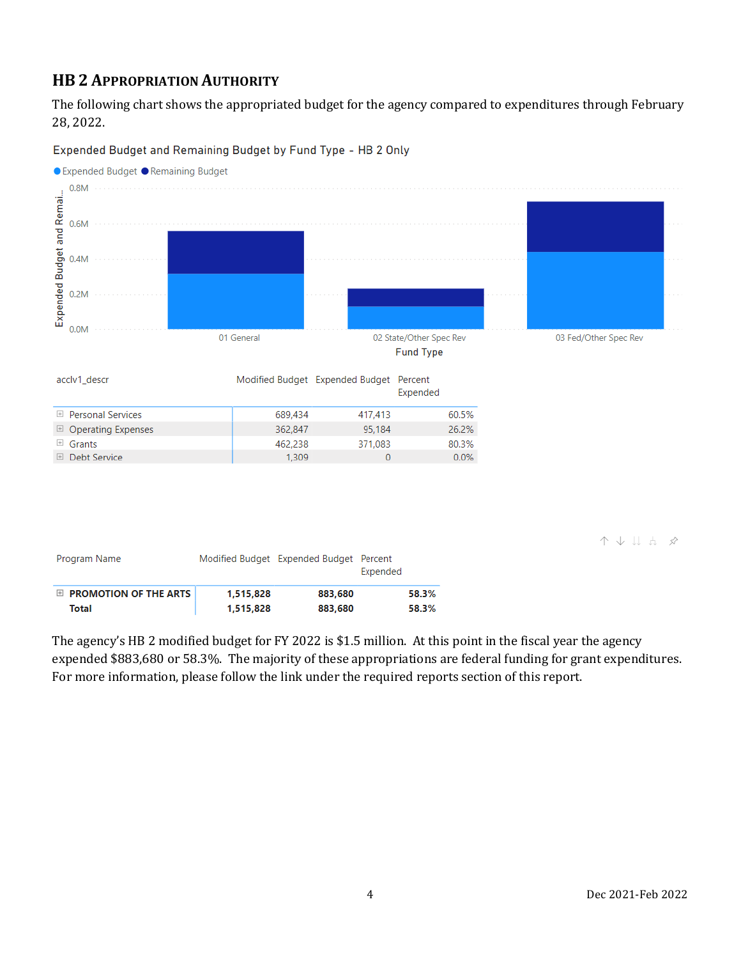# **HB 2 APPROPRIATION AUTHORITY**

The following chart shows the appropriated budget for the agency compared to expenditures through February 28, 2022.

● Expended Budget ● Remaining Budget  $0.8M$ Expended Budget and Remai...  $0.6M$  $0.4M$  $0.2M$  $0.0M$ 01 General 02 State/Other Spec Rev 03 Fed/Other Spec Rev **Fund Type** acclv1\_descr Modified Budget Expended Budget Percent Expended **E** Personal Services 689,434 417,413 60.5%  $\Box$  Operating Expenses 362.847 95.184 26.2%  $\boxplus$  Grants 371,083 462,238 80.3% **E** Debt Service  $0.0%$ 1,309  $\overline{0}$ 

Expended Budget and Remaining Budget by Fund Type - HB 2 Only

个小儿山分

| Program Name                     |           | Modified Budget Expended Budget Percent | Expended |
|----------------------------------|-----------|-----------------------------------------|----------|
| $\boxplus$ PROMOTION OF THE ARTS | 1,515,828 | 883.680                                 | 58.3%    |
| Total                            | 1,515,828 | 883,680                                 | 58.3%    |

The agency's HB 2 modified budget for FY 2022 is \$1.5 million. At this point in the fiscal year the agency expended \$883,680 or 58.3%. The majority of these appropriations are federal funding for grant expenditures. For more information, please follow the link under the required reports section of this report.